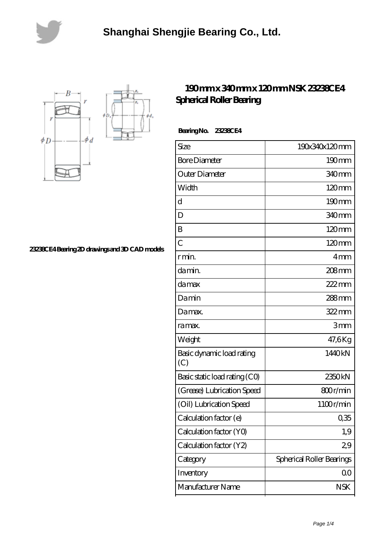



**[23238CE4 Bearing 2D drawings and 3D CAD models](https://lemeritagerestaurant.com/pic-446655.html)**

## **[190 mm x 340 mm x 120 mm NSK 23238CE4](https://lemeritagerestaurant.com/nsk-23238ce4-bearing/) [Spherical Roller Bearing](https://lemeritagerestaurant.com/nsk-23238ce4-bearing/)**

 **Bearing No. 23238CE4**

| Size                             | 190x340x120mm             |
|----------------------------------|---------------------------|
| <b>Bore Diameter</b>             | 190mm                     |
| Outer Diameter                   | 340 <sub>mm</sub>         |
| Width                            | $120 \text{mm}$           |
| d                                | $190 \text{mm}$           |
| D                                | 340 <sub>mm</sub>         |
| B                                | 120mm                     |
| C                                | $120 \text{mm}$           |
| r min.                           | 4mm                       |
| da min.                          | $208$ mm                  |
| damax                            | $222$ mm                  |
| Damin                            | 288mm                     |
| Damax.                           | $322$ mm                  |
| ra max.                          | 3mm                       |
| Weight                           | 47,6Kg                    |
| Basic dynamic load rating<br>(C) | 1440kN                    |
| Basic static load rating (CO)    | 2350kN                    |
| (Grease) Lubrication Speed       | 800r/min                  |
| (Oil) Lubrication Speed          | 1100r/min                 |
| Calculation factor (e)           | 0,35                      |
| Calculation factor (YO)          | 1,9                       |
| Calculation factor (Y2)          | 29                        |
| Category                         | Spherical Roller Bearings |
| Inventory                        | 0 <sub>0</sub>            |
| Manufacturer Name                | <b>NSK</b>                |
|                                  |                           |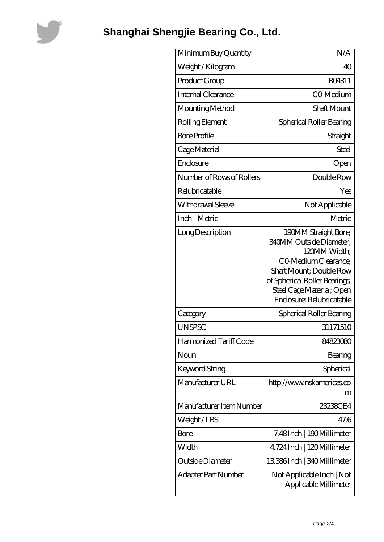

## **[Shanghai Shengjie Bearing Co., Ltd.](https://lemeritagerestaurant.com)**

| Minimum Buy Quantity      | N/A                                                                                                                                                                                                                  |
|---------------------------|----------------------------------------------------------------------------------------------------------------------------------------------------------------------------------------------------------------------|
| Weight/Kilogram           | 40                                                                                                                                                                                                                   |
| Product Group             | BO4311                                                                                                                                                                                                               |
| Internal Clearance        | CO-Medium                                                                                                                                                                                                            |
| Mounting Method           | Shaft Mount                                                                                                                                                                                                          |
| Rolling Element           | Spherical Roller Bearing                                                                                                                                                                                             |
| <b>Bore Profile</b>       | Straight                                                                                                                                                                                                             |
| Cage Material             | Steel                                                                                                                                                                                                                |
| Enclosure                 | Open                                                                                                                                                                                                                 |
| Number of Rows of Rollers | Double Row                                                                                                                                                                                                           |
| Relubricatable            | Yes                                                                                                                                                                                                                  |
| Withdrawal Sleeve         | Not Applicable                                                                                                                                                                                                       |
| Inch - Metric             | Metric                                                                                                                                                                                                               |
| Long Description          | 190MM Straight Bore;<br><b>340MM Outside Diameter;</b><br>120MM Width:<br>CO Medium Clearance;<br>Shaft Mount; Double Row<br>of Spherical Roller Bearings;<br>Steel Cage Material; Open<br>Enclosure; Relubricatable |
| Category                  | Spherical Roller Bearing                                                                                                                                                                                             |
| <b>UNSPSC</b>             | 31171510                                                                                                                                                                                                             |
| Harmonized Tariff Code    | 84823080                                                                                                                                                                                                             |
| Noun                      | Bearing                                                                                                                                                                                                              |
| Keyword String            | Spherical                                                                                                                                                                                                            |
| Manufacturer URL          | http://www.nskamericas.co<br>m                                                                                                                                                                                       |
| Manufacturer Item Number  | 23238CE4                                                                                                                                                                                                             |
| Weight/LBS                | 47.6                                                                                                                                                                                                                 |
| Bore                      | 7.48Inch   190Millimeter                                                                                                                                                                                             |
| Width                     | 4.724 Inch   120 Millimeter                                                                                                                                                                                          |
| Outside Diameter          | 13386Inch   340Millimeter                                                                                                                                                                                            |
| Adapter Part Number       | Not Applicable Inch   Not<br>Applicable Millimeter                                                                                                                                                                   |
|                           |                                                                                                                                                                                                                      |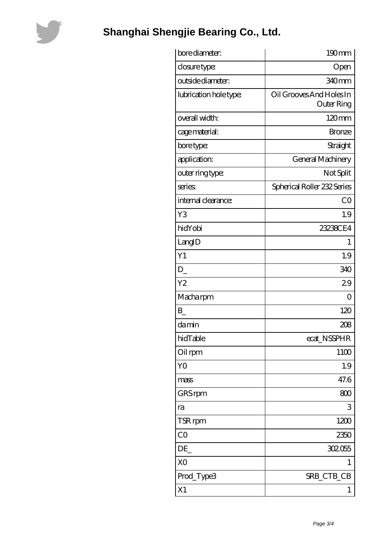

## **[Shanghai Shengjie Bearing Co., Ltd.](https://lemeritagerestaurant.com)**

| bore diameter:         | 190mm                                         |
|------------------------|-----------------------------------------------|
| closure type:          | Open                                          |
| outside diameter:      | 340mm                                         |
| lubrication hole type: | Oil Grooves And Holes In<br><b>Outer Ring</b> |
| overall width:         | $120 \text{mm}$                               |
| cage material:         | <b>Bronze</b>                                 |
| bore type:             | Straight                                      |
| application:           | General Machinery                             |
| outer ring type:       | Not Split                                     |
| series                 | Spherical Roller 232 Series                   |
| internal clearance:    | CO                                            |
| Y3                     | 1.9                                           |
| hidYobi                | 23238CE4                                      |
| LangID                 | 1                                             |
| Y1                     | 1.9                                           |
| $D_{-}$                | 340                                           |
| Y <sub>2</sub>         | 29                                            |
| Macharpm               | O                                             |
| $B_{-}$                | 120                                           |
| damin                  | 208                                           |
| hidTable               | ecat_NSSPHR                                   |
| Oil rpm                | 11 <sub>00</sub>                              |
| YO                     | 1.9                                           |
| mass                   | 47.6                                          |
| GRS rpm                | 800                                           |
| ra                     | 3                                             |
| TSR rpm                | 1200                                          |
| CO                     | 2350                                          |
| DE                     | 302055                                        |
| X <sub>O</sub>         | 1                                             |
| Prod_Type3             | SRB_CTB_CB                                    |
| X1                     | 1                                             |